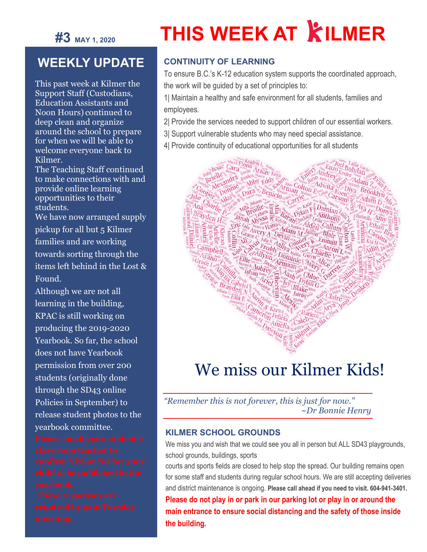

# **THIS WEEK AT KILMER**

### **WEEKLY UPDATE**

This past week at Kilmer the Support Staff (Custodians, Education Assistants and Noon Hours) continued to deep clean and organize around the school to prepare for when we will be able to welcome everyone back to Kilmer.

The Teaching Staff continued to make connections with and provide online learning opportunities to their students.

We have now arranged supply pickup for all but 5 Kilmer families and are working towards sorting through the items left behind in the Lost & Found.

Although we are not all learning in the building, KPAC is still working on producing the 2019-2020 Yearbook. So far, the school does not have Yearbook permission from over 200 students (originally done through the SD43 online Policies in September) to release student photos to the yearbook committee.

#### **CONTINUITY OF LEARNING**

To ensure B.C.'s K-12 education system supports the coordinated approach, the work will be guided by a set of principles to:

1| Maintain a healthy and safe environment for all students, families and employees.

- 2| Provide the services needed to support children of our essential workers.
- 3| Support vulnerable students who may need special assistance.



## We miss our Kilmer Kids!

*"Remember this is not forever, this is just for now." ~Dr Bonnie Henry*

#### **KILMER SCHOOL GROUNDS**

We miss you and wish that we could see you all in person but ALL SD43 playgrounds, school grounds, buildings, sports

courts and sports fields are closed to help stop the spread. Our building remains open for some staff and students during regular school hours. We are still accepting deliveries and district maintenance is ongoing. **Please call ahead if you need to visit. 604-941-3401. Please do not play in or park in our parking lot or play in or around the main entrance to ensure social distancing and the safety of those inside the building.**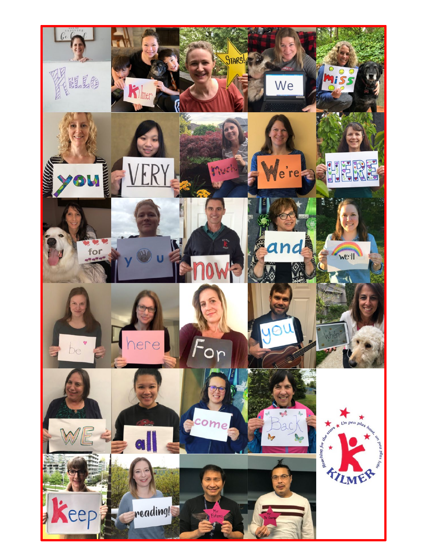